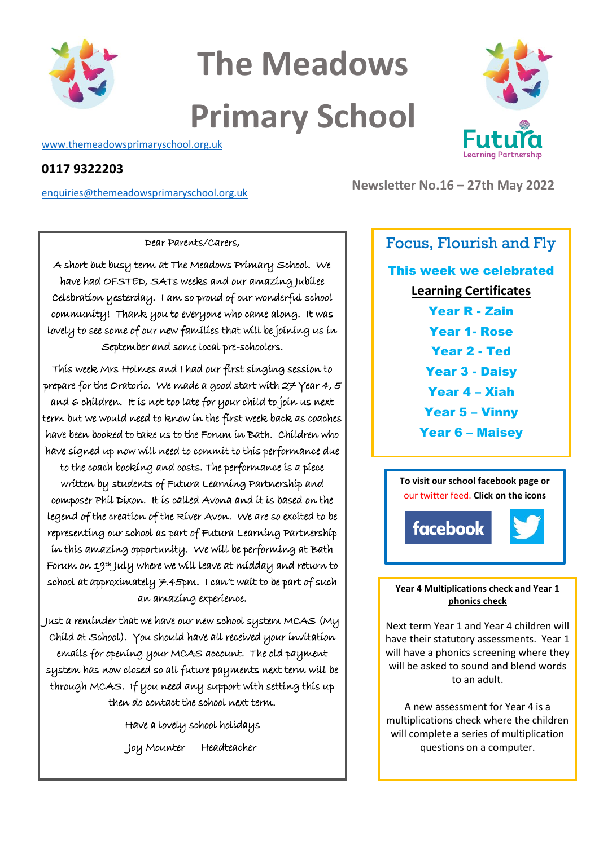

# **The Meadows Primary School**

[www.themeadowsprimaryschool.org.uk](http://www.themeadowsprimaryschool.org.uk/)

### **0117 9322203**

[enquiries@themeadowsprimaryschool.org.uk](mailto:enquiries@themeadowsprimaryschool.org.uk)



**Newsletter No.16 – 27th May 2022**

#### Dear Parents/Carers,

A short but busy term at The Meadows Primary School. We have had OFSTED, SATs weeks and our amazing Jubilee Celebration yesterday. I am so proud of our wonderful school community! Thank you to everyone who came along. It was lovely to see some of our new families that will be joining us in September and some local pre-schoolers.

This week Mrs Holmes and I had our first singing session to prepare for the Oratorio. We made a good start with  $27$  Year 4, 5 and 6 children. It is not too late for your child to join us next term but we would need to know in the first week back as coaches have been booked to take us to the Forum in Bath. Children who have signed up now will need to commit to this performance due to the coach booking and costs. The performance is a piece written by students of Futura Learning Partnership and composer Phil Dixon. It is called Avona and it is based on the legend of the creation of the River Avon. We are so excited to be representing our school as part of Futura Learning Partnership in this amazing opportunity. We will be performing at Bath Forum on 19th July where we will leave at midday and return to school at approximately  $7.45$ pm. I can't wait to be part of such

an amazing experience.

Just a reminder that we have our new school system MCAS (My Child at School). You should have all received your invitation emails for opening your MCAS account. The old payment system has now closed so all future payments next term will be through MCAS. If you need any support with setting this up then do contact the school next term.

> Have a lovely school holidays Joy Mounter Headteacher

## Focus, Flourish and Fly

This week we celebrated **Learning Certificates** Year R - Zain Year 1- Rose Year 2 - Ted Year 3 - Daisy Year 4 – Xiah Year 5 – Vinny Year 6 – Maisey



#### **Year 4 Multiplications check and Year 1 phonics check**

Next term Year 1 and Year 4 children will have their statutory assessments. Year 1 will have a phonics screening where they will be asked to sound and blend words to an adult.

A new assessment for Year 4 is a multiplications check where the children will complete a series of multiplication questions on a computer.